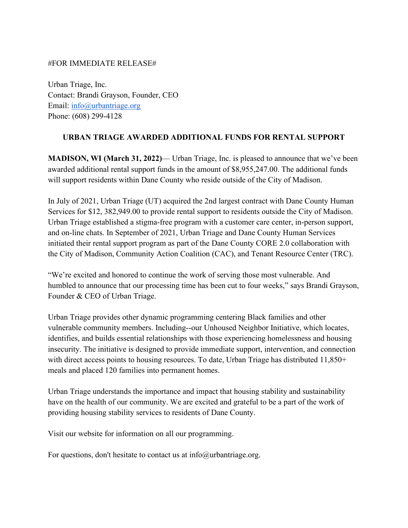## #FOR IMMEDIATE RELEASE#

Urban Triage, Inc. Contact: Brandi Grayson, Founder, CEO Email: [info@urbantriage.org](mailto:info@urbantriage.org) Phone: (608) 299-4128

## **URBAN TRIAGE AWARDED ADDITIONAL FUNDS FOR RENTAL SUPPORT**

**MADISON, WI (March 31, 2022)**— Urban Triage, Inc. is pleased to announce that we've been awarded additional rental support funds in the amount of \$8,955,247.00. The additional funds will support residents within Dane County who reside outside of the City of Madison.

In July of 2021, Urban Triage (UT) acquired the 2nd largest contract with Dane County Human Services for \$12, 382,949.00 to provide rental support to residents outside the City of Madison. Urban Triage established a stigma-free program with a customer care center, in-person support, and on-line chats. In September of 2021, Urban Triage and Dane County Human Services initiated their rental support program as part of the Dane County CORE 2.0 collaboration with the City of Madison, Community Action Coalition (CAC), and Tenant Resource Center (TRC).

"We're excited and honored to continue the work of serving those most vulnerable. And humbled to announce that our processing time has been cut to four weeks," says Brandi Grayson, Founder & CEO of Urban Triage.

Urban Triage provides other dynamic programming centering Black families and other vulnerable community members. Including--our Unhoused Neighbor Initiative, which locates, identifies, and builds essential relationships with those experiencing homelessness and housing insecurity. The initiative is designed to provide immediate support, intervention, and connection with direct access points to housing resources. To date, Urban Triage has distributed 11,850+ meals and placed 120 families into permanent homes.

Urban Triage understands the importance and impact that housing stability and sustainability have on the health of our community. We are excited and grateful to be a part of the work of providing housing stability services to residents of Dane County.

Visit our website for information on all our programming.

For questions, don't hesitate to contact us at  $info@$ urbantriage.org.